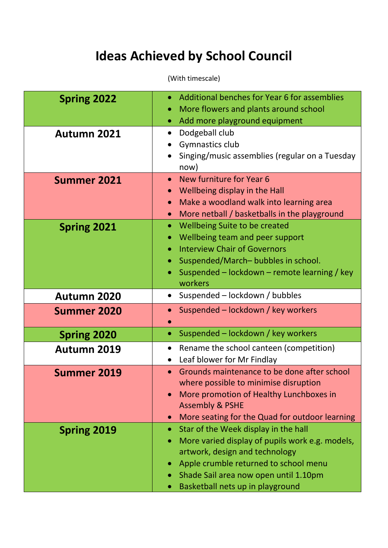## **Ideas Achieved by School Council**

## (With timescale)

| <b>Spring 2022</b> | Additional benches for Year 6 for assemblies<br>۰<br>More flowers and plants around school<br>۰<br>Add more playground equipment<br>$\bullet$                                                                                                                                                                    |
|--------------------|------------------------------------------------------------------------------------------------------------------------------------------------------------------------------------------------------------------------------------------------------------------------------------------------------------------|
| <b>Autumn 2021</b> | Dodgeball club<br>$\bullet$<br>Gymnastics club<br>Singing/music assemblies (regular on a Tuesday<br>now)                                                                                                                                                                                                         |
| <b>Summer 2021</b> | New furniture for Year 6<br>$\bullet$<br>Wellbeing display in the Hall<br>Make a woodland walk into learning area<br>More netball / basketballs in the playground<br>$\bullet$                                                                                                                                   |
| <b>Spring 2021</b> | Wellbeing Suite to be created<br>$\bullet$<br>Wellbeing team and peer support<br>$\bullet$<br><b>Interview Chair of Governors</b><br>Suspended/March-bubbles in school.<br>Suspended – lockdown – remote learning / key<br>workers                                                                               |
| Autumn 2020        | Suspended - lockdown / bubbles<br>$\bullet$                                                                                                                                                                                                                                                                      |
| <b>Summer 2020</b> | Suspended – lockdown / key workers<br>$\bullet$                                                                                                                                                                                                                                                                  |
| <b>Spring 2020</b> | Suspended - lockdown / key workers<br>$\bullet$                                                                                                                                                                                                                                                                  |
| <b>Autumn 2019</b> | Rename the school canteen (competition)<br>$\bullet$<br>Leaf blower for Mr Findlay                                                                                                                                                                                                                               |
| <b>Summer 2019</b> | Grounds maintenance to be done after school<br>where possible to minimise disruption<br>More promotion of Healthy Lunchboxes in<br>$\bullet$<br><b>Assembly &amp; PSHE</b><br>More seating for the Quad for outdoor learning<br>$\bullet$                                                                        |
| <b>Spring 2019</b> | Star of the Week display in the hall<br>$\bullet$<br>More varied display of pupils work e.g. models,<br>$\bullet$<br>artwork, design and technology<br>Apple crumble returned to school menu<br>$\bullet$<br>Shade Sail area now open until 1.10pm<br>$\bullet$<br>Basketball nets up in playground<br>$\bullet$ |